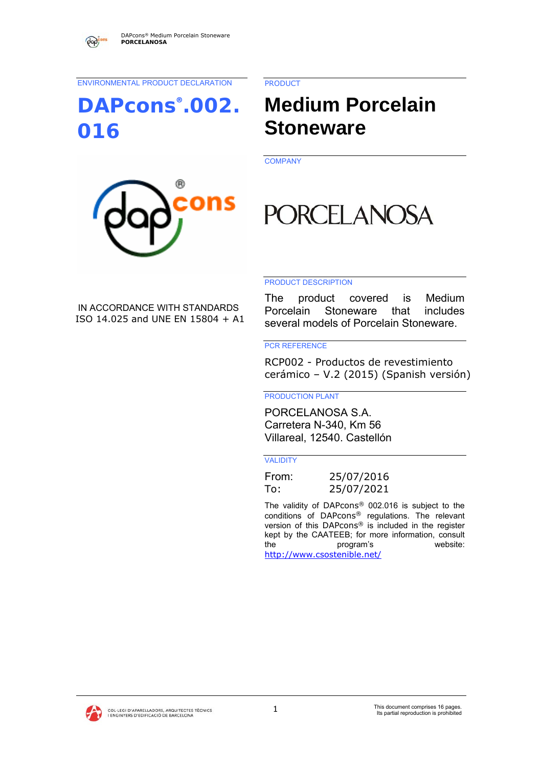ENVIRONMENTAL PRODUCT DECLARATION

# **DAPcons®.002. 016**

PRODUCT

# **Medium Porcelain Stoneware**

**COMPANY** 



# **PORCELANOSA**

#### PRODUCT DESCRIPTION

IN ACCORDANCE WITH STANDARDS ISO 14.025 and UNE EN 15804 + A1

The product covered is Medium Porcelain Stoneware that includes several models of Porcelain Stoneware.

#### PCR REFERENCE

RCP002 - Productos de revestimiento cerámico – V.2 (2015) (Spanish versión)

PRODUCTION PLANT

PORCELANOSA S.A. Carretera N-340, Km 56 Villareal, 12540. Castellón

#### VALIDITY

From: 25/07/2016 To: 25/07/2021

The validity of DAPcons® 002.016 is subject to the conditions of DAPcons® regulations. The relevant version of this DAPcons® is included in the register kept by the CAATEEB; for more information, consult the program's website: http://www.csostenible.net/

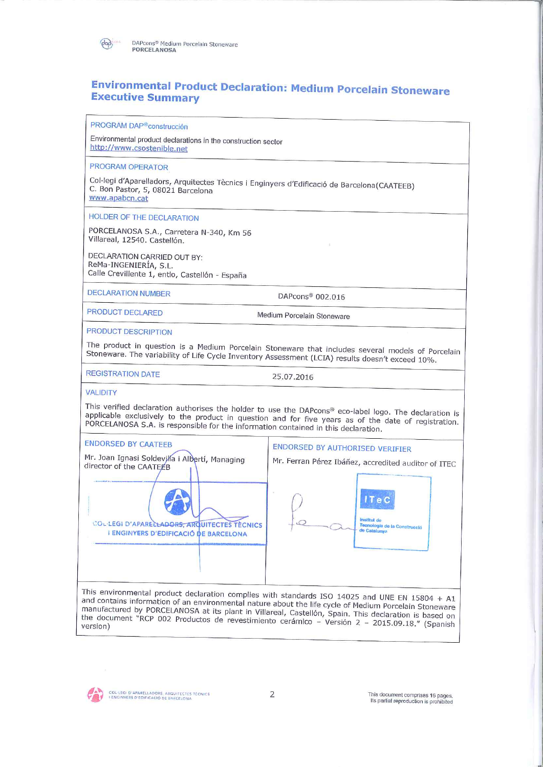

# **Environmental Product Declaration: Medium Porcelain Stoneware Executive Summary**

PROGRAM DAP®construcción

Environmental product declarations in the construction sector http://www.csostenible.net

PROGRAM OPERATOR

Col·legi d'Aparelladors, Arquitectes Tècnics i Enginyers d'Edificació de Barcelona(CAATEEB) C. Bon Pastor, 5, 08021 Barcelona www.apabcn.cat

**HOLDER OF THE DECLARATION** 

PORCELANOSA S.A., Carretera N-340, Km 56 Villareal, 12540. Castellón.

DECLARATION CARRIED OUT BY: ReMa-INGENIERÍA, S.L. Calle Crevillente 1, entlo, Castellón - España

**DECLARATION NUMBER** 

DAPcons<sup>®</sup> 002.016

 $\mathcal{A}$ 

PRODUCT DECLARED

Medium Porcelain Stoneware

PRODUCT DESCRIPTION

The product in question is a Medium Porcelain Stoneware that includes several models of Porcelain Stoneware. The variability of Life Cycle Inventory Assessment (LCIA) results doesn't exceed 10%.

**REGISTRATION DATE** 

25.07.2016

#### **VALIDITY**

This verified declaration authorises the holder to use the DAPcons® eco-label logo. The declaration is applicable exclusively to the product in question and for five years as of the date of registration. PORCELANOSA S.A. is responsible for the information contained in this declaration.



and contains information of an environmental nature about the life cycle of Medium Porcelain Stoneware manufactured by PORCELANOSA at its plant in Villareal, Castellón, Spain. This declaration is based on the document "RCP 002 Productos de revestimiento cerámico – Versión 2 – 2015.09.18." (Spanish version)



COL-LEGI D'APARELLADORS, ARQUITECTES TÉCNICS<br>I ENGINYERS D'EDIFICACIÓ DE BARCELONA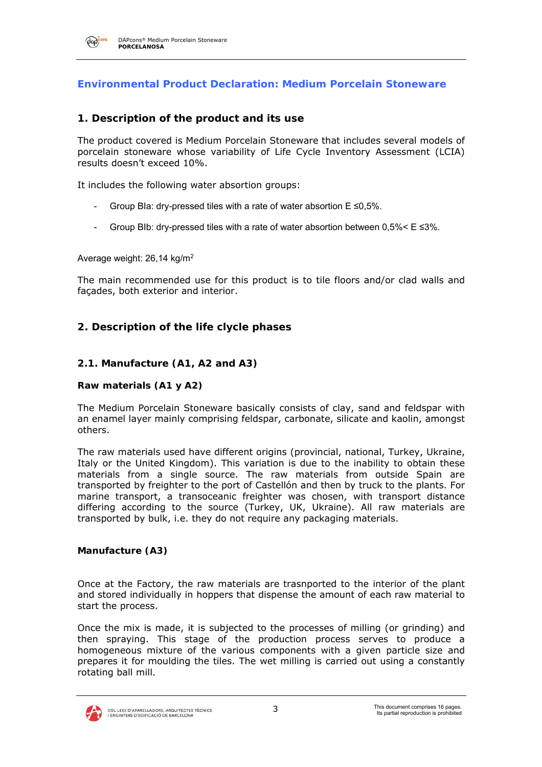

#### **Environmental Product Declaration: Medium Porcelain Stoneware**

#### **1. Description of the product and its use**

The product covered is Medium Porcelain Stoneware that includes several models of porcelain stoneware whose variability of Life Cycle Inventory Assessment (LCIA) results doesn't exceed 10%.

It includes the following water absortion groups:

- Group BIa: dry-pressed tiles with a rate of water absortion  $E \le 0.5\%$ .
- Group BIb: dry-pressed tiles with a rate of water absortion between  $0.5\% < E \leq 3\%$ .

Average weight: 26,14 kg/m2

The main recommended use for this product is to tile floors and/or clad walls and façades, both exterior and interior.

#### **2. Description of the life clycle phases**

#### **2.1. Manufacture (A1, A2 and A3)**

#### **Raw materials (A1 y A2)**

The Medium Porcelain Stoneware basically consists of clay, sand and feldspar with an enamel layer mainly comprising feldspar, carbonate, silicate and kaolin, amongst others.

The raw materials used have different origins (provincial, national, Turkey, Ukraine, Italy or the United Kingdom). This variation is due to the inability to obtain these materials from a single source. The raw materials from outside Spain are transported by freighter to the port of Castellón and then by truck to the plants. For marine transport, a transoceanic freighter was chosen, with transport distance differing according to the source (Turkey, UK, Ukraine). All raw materials are transported by bulk, i.e. they do not require any packaging materials.

#### **Manufacture (A3)**

Once at the Factory, the raw materials are trasnported to the interior of the plant and stored individually in hoppers that dispense the amount of each raw material to start the process.

Once the mix is made, it is subjected to the processes of milling (or grinding) and then spraying. This stage of the production process serves to produce a homogeneous mixture of the various components with a given particle size and prepares it for moulding the tiles. The wet milling is carried out using a constantly rotating ball mill.

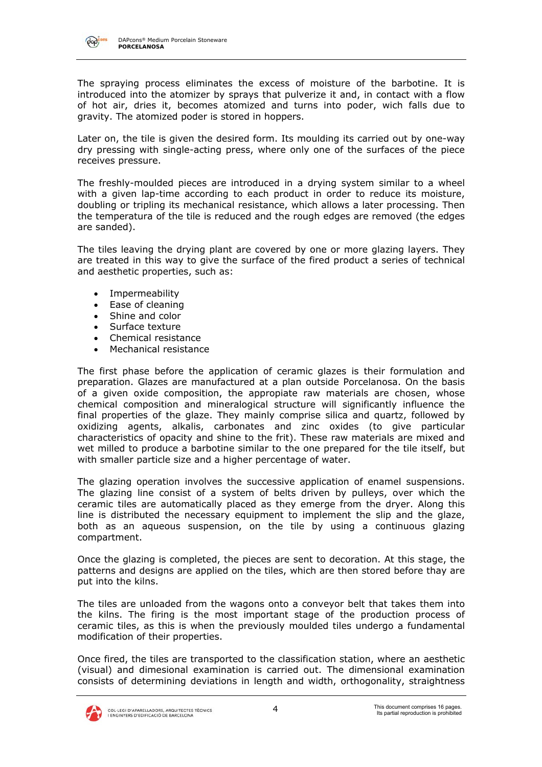

The spraying process eliminates the excess of moisture of the barbotine. It is introduced into the atomizer by sprays that pulverize it and, in contact with a flow of hot air, dries it, becomes atomized and turns into poder, wich falls due to gravity. The atomized poder is stored in hoppers.

Later on, the tile is given the desired form. Its moulding its carried out by one-way dry pressing with single-acting press, where only one of the surfaces of the piece receives pressure.

The freshly-moulded pieces are introduced in a drying system similar to a wheel with a given lap-time according to each product in order to reduce its moisture, doubling or tripling its mechanical resistance, which allows a later processing. Then the temperatura of the tile is reduced and the rough edges are removed (the edges are sanded).

The tiles leaving the drying plant are covered by one or more glazing layers. They are treated in this way to give the surface of the fired product a series of technical and aesthetic properties, such as:

- Impermeability
- Ease of cleaning
- Shine and color
- Surface texture
- Chemical resistance
- Mechanical resistance

The first phase before the application of ceramic glazes is their formulation and preparation. Glazes are manufactured at a plan outside Porcelanosa. On the basis of a given oxide composition, the appropiate raw materials are chosen, whose chemical composition and mineralogical structure will significantly influence the final properties of the glaze. They mainly comprise silica and quartz, followed by oxidizing agents, alkalis, carbonates and zinc oxides (to give particular characteristics of opacity and shine to the frit). These raw materials are mixed and wet milled to produce a barbotine similar to the one prepared for the tile itself, but with smaller particle size and a higher percentage of water.

The glazing operation involves the successive application of enamel suspensions. The glazing line consist of a system of belts driven by pulleys, over which the ceramic tiles are automatically placed as they emerge from the dryer. Along this line is distributed the necessary equipment to implement the slip and the glaze, both as an aqueous suspension, on the tile by using a continuous glazing compartment.

Once the glazing is completed, the pieces are sent to decoration. At this stage, the patterns and designs are applied on the tiles, which are then stored before thay are put into the kilns.

The tiles are unloaded from the wagons onto a conveyor belt that takes them into the kilns. The firing is the most important stage of the production process of ceramic tiles, as this is when the previously moulded tiles undergo a fundamental modification of their properties.

Once fired, the tiles are transported to the classification station, where an aesthetic (visual) and dimesional examination is carried out. The dimensional examination consists of determining deviations in length and width, orthogonality, straightness

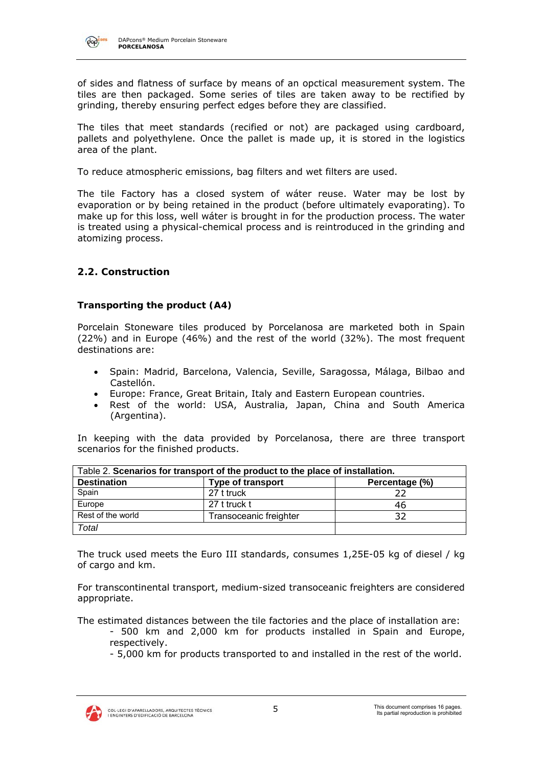

of sides and flatness of surface by means of an opctical measurement system. The tiles are then packaged. Some series of tiles are taken away to be rectified by grinding, thereby ensuring perfect edges before they are classified.

The tiles that meet standards (recified or not) are packaged using cardboard, pallets and polyethylene. Once the pallet is made up, it is stored in the logistics area of the plant.

To reduce atmospheric emissions, bag filters and wet filters are used.

The tile Factory has a closed system of wáter reuse. Water may be lost by evaporation or by being retained in the product (before ultimately evaporating). To make up for this loss, well wáter is brought in for the production process. The water is treated using a physical-chemical process and is reintroduced in the grinding and atomizing process.

#### **2.2. Construction**

#### **Transporting the product (A4)**

Porcelain Stoneware tiles produced by Porcelanosa are marketed both in Spain (22%) and in Europe (46%) and the rest of the world (32%). The most frequent destinations are:

- Spain: Madrid, Barcelona, Valencia, Seville, Saragossa, Málaga, Bilbao and Castellón.
- Europe: France, Great Britain, Italy and Eastern European countries.
- Rest of the world: USA, Australia, Japan, China and South America (Argentina).

In keeping with the data provided by Porcelanosa, there are three transport scenarios for the finished products.

|                    | Table 2. Scenarios for transport of the product to the place of installation. |                |
|--------------------|-------------------------------------------------------------------------------|----------------|
| <b>Destination</b> | <b>Type of transport</b>                                                      | Percentage (%) |
| Spain              | 27 t truck                                                                    |                |
| Europe             | 27 t truck t                                                                  | 46             |
| Rest of the world  | Transoceanic freighter                                                        |                |
| Total              |                                                                               |                |

The truck used meets the Euro III standards, consumes 1,25E-05 kg of diesel / kg of cargo and km.

For transcontinental transport, medium-sized transoceanic freighters are considered appropriate.

The estimated distances between the tile factories and the place of installation are:

- 500 km and 2,000 km for products installed in Spain and Europe, respectively.
	- 5,000 km for products transported to and installed in the rest of the world.

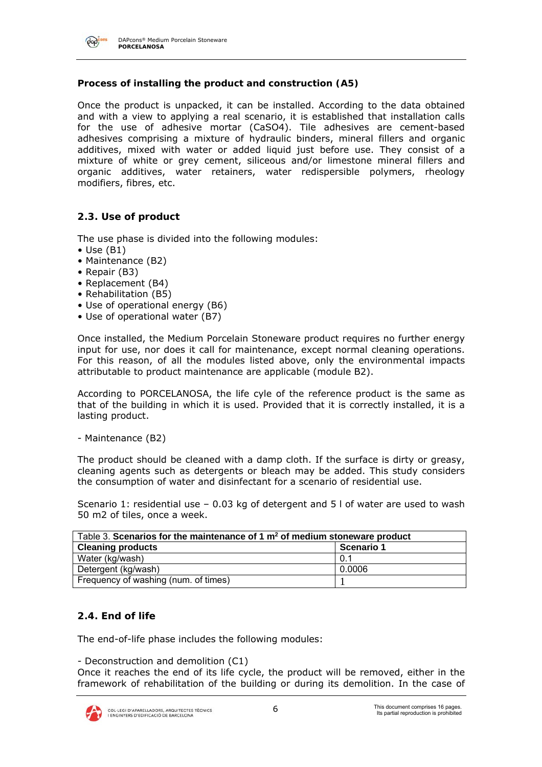

DAPcons® Medium Porcelain Stoneware **PORCELANOSA** 

#### **Process of installing the product and construction (A5)**

Once the product is unpacked, it can be installed. According to the data obtained and with a view to applying a real scenario, it is established that installation calls for the use of adhesive mortar (CaSO4). Tile adhesives are cement-based adhesives comprising a mixture of hydraulic binders, mineral fillers and organic additives, mixed with water or added liquid just before use. They consist of a mixture of white or grey cement, siliceous and/or limestone mineral fillers and organic additives, water retainers, water redispersible polymers, rheology modifiers, fibres, etc.

#### **2.3. Use of product**

The use phase is divided into the following modules:

- $\bullet$  Use (B1)
- Maintenance (B2)
- Repair (B3)
- Replacement (B4)
- Rehabilitation (B5)
- Use of operational energy (B6)
- Use of operational water (B7)

Once installed, the Medium Porcelain Stoneware product requires no further energy input for use, nor does it call for maintenance, except normal cleaning operations. For this reason, of all the modules listed above, only the environmental impacts attributable to product maintenance are applicable (module B2).

According to PORCELANOSA, the life cyle of the reference product is the same as that of the building in which it is used. Provided that it is correctly installed, it is a lasting product.

- Maintenance (B2)

The product should be cleaned with a damp cloth. If the surface is dirty or greasy, cleaning agents such as detergents or bleach may be added. This study considers the consumption of water and disinfectant for a scenario of residential use.

Scenario 1: residential use – 0.03 kg of detergent and 5 l of water are used to wash 50 m2 of tiles, once a week.

| Table 3. Scenarios for the maintenance of 1 $m2$ of medium stoneware product |            |
|------------------------------------------------------------------------------|------------|
| <b>Cleaning products</b>                                                     | Scenario 1 |
| Water (kg/wash)                                                              | 0.1        |
| Detergent (kg/wash)                                                          | 0.0006     |
| Frequency of washing (num. of times)                                         |            |

#### **2.4. End of life**

The end-of-life phase includes the following modules:

- Deconstruction and demolition (C1)

Once it reaches the end of its life cycle, the product will be removed, either in the framework of rehabilitation of the building or during its demolition. In the case of

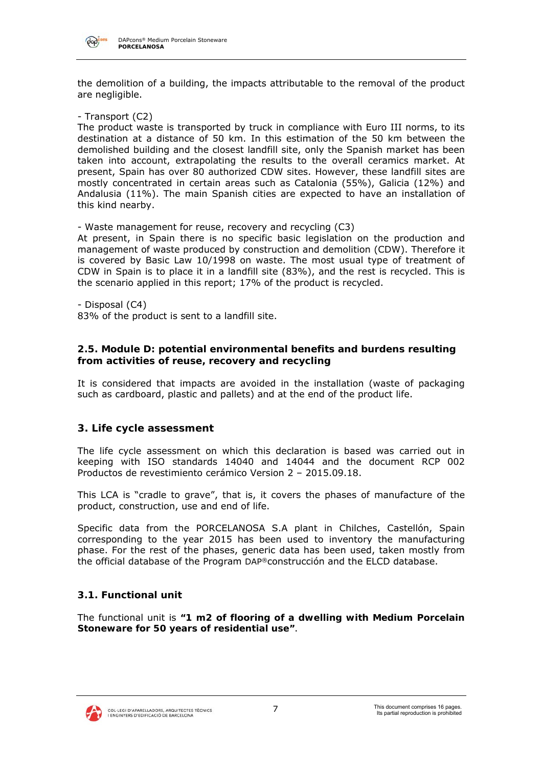

the demolition of a building, the impacts attributable to the removal of the product are negligible.

- Transport (C2)

The product waste is transported by truck in compliance with Euro III norms, to its destination at a distance of 50 km. In this estimation of the 50 km between the demolished building and the closest landfill site, only the Spanish market has been taken into account, extrapolating the results to the overall ceramics market. At present, Spain has over 80 authorized CDW sites. However, these landfill sites are mostly concentrated in certain areas such as Catalonia (55%), Galicia (12%) and Andalusia (11%). The main Spanish cities are expected to have an installation of this kind nearby.

- Waste management for reuse, recovery and recycling (C3)

At present, in Spain there is no specific basic legislation on the production and management of waste produced by construction and demolition (CDW). Therefore it is covered by Basic Law 10/1998 on waste. The most usual type of treatment of CDW in Spain is to place it in a landfill site (83%), and the rest is recycled. This is the scenario applied in this report; 17% of the product is recycled.

- Disposal (C4)

83% of the product is sent to a landfill site.

#### **2.5. Module D: potential environmental benefits and burdens resulting from activities of reuse, recovery and recycling**

It is considered that impacts are avoided in the installation (waste of packaging such as cardboard, plastic and pallets) and at the end of the product life.

#### **3. Life cycle assessment**

The life cycle assessment on which this declaration is based was carried out in keeping with ISO standards 14040 and 14044 and the document RCP 002 Productos de revestimiento cerámico Version 2 – 2015.09.18.

This LCA is "cradle to grave", that is, it covers the phases of manufacture of the product, construction, use and end of life.

Specific data from the PORCELANOSA S.A plant in Chilches, Castellón, Spain corresponding to the year 2015 has been used to inventory the manufacturing phase. For the rest of the phases, generic data has been used, taken mostly from the official database of the Program DAP®construcción and the ELCD database.

#### **3.1. Functional unit**

The functional unit is **"1 m2 of flooring of a dwelling with Medium Porcelain Stoneware for 50 years of residential use"**.

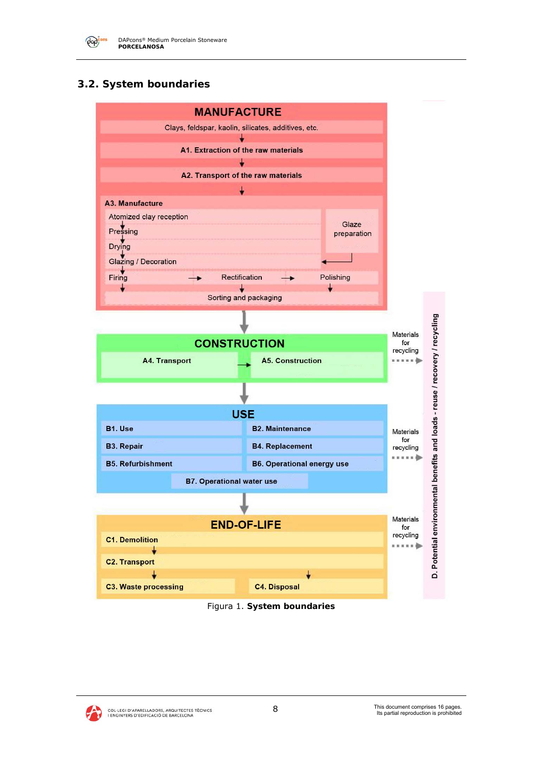

# **3.2. System boundaries**





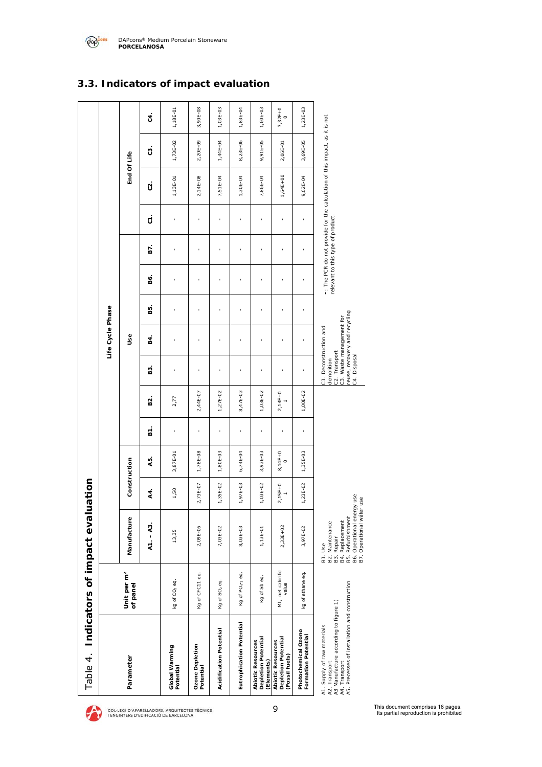| Table 4. Indicators of impact eva                                                                                                                        |                                     |                                                                                                                                                    | luation   |                |         |           |                                                                                                                                   |                  |    |                                   |     |           |                                                                            |             |           |
|----------------------------------------------------------------------------------------------------------------------------------------------------------|-------------------------------------|----------------------------------------------------------------------------------------------------------------------------------------------------|-----------|----------------|---------|-----------|-----------------------------------------------------------------------------------------------------------------------------------|------------------|----|-----------------------------------|-----|-----------|----------------------------------------------------------------------------|-------------|-----------|
|                                                                                                                                                          |                                     |                                                                                                                                                    |           |                |         |           |                                                                                                                                   | Life Cycle Phase |    |                                   |     |           |                                                                            |             |           |
| Parameter                                                                                                                                                | Unit per m <sup>2</sup><br>of panel | Manufacture                                                                                                                                        |           | Construction   |         |           |                                                                                                                                   | ٩s               |    |                                   |     |           |                                                                            | End Of Life |           |
|                                                                                                                                                          |                                     | $A1. - A3.$                                                                                                                                        | 44.       | 45             | Б.<br>В | 82.       | <u>ន</u>                                                                                                                          | В4.              | B. | 86.                               | 67. | $\dot{5}$ | S.                                                                         | S.          | Ġ.        |
| Global Warming<br>Potential                                                                                                                              | kg of CO <sub>2</sub> eq.           | 13,35                                                                                                                                              | 1,50      | 3,87E-01       | ï       | 2,77      |                                                                                                                                   |                  |    |                                   |     | ı         | 1,13E-01                                                                   | 1,73E-02    | 1,18E-01  |
| Ozone Depletion<br>Potential                                                                                                                             | Kg of CFC11 eq.                     | 2,09E-06                                                                                                                                           | 2,73E-07  | 1,78E-08       | ï       | 2,44E-07  | ł                                                                                                                                 |                  | ï  |                                   |     | ï         | 2,14E-08                                                                   | 2,20E-09    | 3,90E-08  |
| Acidification Potential                                                                                                                                  | Kg of SO <sub>2</sub> eq.           | 7,03E-02                                                                                                                                           | 1,35E-02  | 1,80E-03       | ï       | 1,27E-02  |                                                                                                                                   |                  |    |                                   |     |           | 7,51E-04                                                                   | 1,44E-04    | 1,03E-03  |
| Eutrophication Potential                                                                                                                                 | Kg of PO <sub>4-3</sub> eq.         | 8,03E-03                                                                                                                                           | 1,97E-03  | 6,74E-04       | í,      | 8,47E-03  |                                                                                                                                   |                  |    |                                   |     |           | 1,30E-04                                                                   | 8,23E-06    | 1,83E-04  |
| Depletion Potential<br><b>Abiotic Resources</b><br>(Elements)                                                                                            | Kg of Sb eq.                        | 1,13E-01                                                                                                                                           | 1,03E-02  | 3,93E-03       | í,      | 1,03E-02  |                                                                                                                                   |                  |    | ï                                 |     | à,        | 7,86E-04                                                                   | 9,91E-05    | 1,60E-03  |
| Depletion Potential<br><b>Abiotic Resources</b><br>(Fossil fuels)                                                                                        | MJ, net calorific<br>value          | 2,33E+02                                                                                                                                           | $2,15E+0$ | $8,14E+0$<br>0 |         | $2,14E+0$ | ı                                                                                                                                 | ı                | ï  |                                   |     | ï         | $1,64E+00$                                                                 | 2,06E-01    | $3,32E+0$ |
| Photochemical Ozono<br><b>Formation Potential</b>                                                                                                        | kg of ethane eq.                    | 3,97E-02                                                                                                                                           | 1,23E-02  | 1,35E-03       | ï       | 1,00E-02  | ï                                                                                                                                 |                  | ł  | ï                                 |     | $\bar{1}$ | 9,62E-04                                                                   | 3,69E-05    | 1,23E-03  |
| A4. Transport<br>A5. Precesses of installation and construction<br>A3 Manufacture according to figure 1)<br>A1. Supply of raw materials<br>A2. Transport |                                     | B4. Replacement<br>B5. Refurbishment<br>B6. Operational energy use<br>B7. Operational water use<br>B2. Maintenance<br><b>B3. Repair</b><br>B1. Use |           |                |         |           | euse, recovery and recycling<br>23. Waste management for<br>21. Deconstruction and<br>22. Transport<br>24. Disposal<br>temolition |                  |    | relevant to this type of product. |     |           | -: The PCR do not provide for the calculation of this impact, as it is not |             |           |

### **3.3. Indicators of impact evaluation**



9 This document comprises 16 pages. Its partial reproduction is prohibited

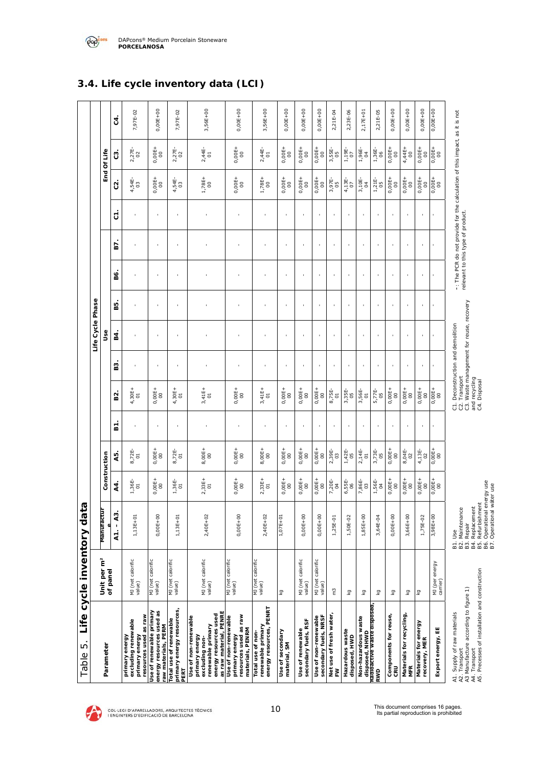

DAPcons® Medium Porcelain Stoneware **PORCELANOSA** 

| ທ່<br>Table                                                                                                                                              |                                     | Life cycle inventory data                                                                                                                  |                            |                            |              |                                                                                                                                 |              |                  |              |              |                                   |                                                                            |                                                       |                |            |
|----------------------------------------------------------------------------------------------------------------------------------------------------------|-------------------------------------|--------------------------------------------------------------------------------------------------------------------------------------------|----------------------------|----------------------------|--------------|---------------------------------------------------------------------------------------------------------------------------------|--------------|------------------|--------------|--------------|-----------------------------------|----------------------------------------------------------------------------|-------------------------------------------------------|----------------|------------|
|                                                                                                                                                          |                                     |                                                                                                                                            |                            |                            |              |                                                                                                                                 |              | Life Cycle Phase |              |              |                                   |                                                                            |                                                       |                |            |
| Parameter                                                                                                                                                | Unit per m <sup>2</sup><br>of panel | Manutactur                                                                                                                                 |                            | Construction               |              |                                                                                                                                 |              | و<br>ول          |              |              |                                   |                                                                            |                                                       | End Of Life    |            |
|                                                                                                                                                          |                                     | $\overline{43}$ .<br>$\mathbf{I}$<br>$\overline{A}$                                                                                        | 44.                        | 45.                        | Σ.           | B2.                                                                                                                             | В3           | <b>B4</b>        | B5.          | B6.          | 67                                | 5                                                                          | $\tilde{c}$                                           | ස              | $\ddot{a}$ |
| resources used as raw<br>excluding renewable<br>primary energy<br>primary energy                                                                         | MJ (net calorific<br>value)         | 1,13E+01                                                                                                                                   | $1,36E-$                   | $8,72E-$                   |              | $4,30E+$                                                                                                                        |              |                  |              |              |                                   |                                                                            | $4,54E-$                                              | 2,27E-         | 7,97E-02   |
| Use of renewable primary<br>energy resources used as                                                                                                     | MJ (net calorific<br>value)         | $0,00E+00$                                                                                                                                 | $0,00E +$                  | $0,00E +$                  | $\mathbf{r}$ | $0,00E +$                                                                                                                       | $\mathbf{r}$ | $\mathbf{I}$     | $\mathbf{r}$ | $\mathbf{I}$ | $\mathbf{r}$                      | $\mathbf{r}$                                                               | $0,00E +$                                             | $0,00E +$      | 0,00E+00   |
| primary energy resources,<br>aw materials, PERM<br>Total use of renewable<br>PERT                                                                        | MJ (net calorific<br>value)         | 1,13E+01                                                                                                                                   | $1,36E-$                   | 8,72E-                     | $\,$         | $4,30E+$                                                                                                                        |              |                  | ×            |              |                                   | ×                                                                          | $4,54E-$                                              | 2,27E-         | 7,97E-02   |
| as raw material, PENRE<br>energy resources used<br>Use of non-renewable<br>excluding non-<br>renewable primary<br>primary energy                         | MJ (net calorific<br>value)         | 2,40E+02                                                                                                                                   | $2,33E+$                   | 8,00E+<br>00               |              | $3,41E+$                                                                                                                        | $\,$         |                  |              |              |                                   |                                                                            | $1,78E+$                                              | $2,44E-$       | 3,56E+00   |
| resources used as raw<br>Use of non-renewable<br>materials, PENRM<br>primary energy                                                                      | MJ (net calorific<br>value)         | $0,00E+00$                                                                                                                                 | $0,00E +$                  | $0,00E +$                  |              | $0,00E +$                                                                                                                       |              |                  |              |              |                                   | $\,$                                                                       | $0,00E +$                                             | $0,00E +$      | $0,00E+00$ |
| energy resources, PENRT<br>renewable primary<br>Total use of non-                                                                                        | MJ (net calorific<br>value)         | $2,40E+02$                                                                                                                                 | $2,33E+$                   | 8,00E+<br>00               |              | $3,41E+$                                                                                                                        |              |                  |              |              |                                   |                                                                            | $1,78E+$                                              | $2,44E-$       | 3,56E+00   |
| Use of secondary<br>material, SM                                                                                                                         | δz                                  | 1,07E+01                                                                                                                                   | $0,00E +$                  | $0,00E +$                  | $\,$         | $0,00E +$                                                                                                                       | $\mathbf{r}$ | $\mathbf{r}$     | í.           | $\mathbf{r}$ | $\mathbf{I}$                      | $\mathbf{r}$                                                               | $0,00E +$                                             | $0,00E +$      | 0,00E+00   |
| secondary fuels, RSF<br>Use of renewable                                                                                                                 | MJ (net calorific<br>value)         | $0,00E + 00$                                                                                                                               | $0,00E +$                  | $0,00E +$                  | ł            | $0,00E +$                                                                                                                       | ï            | t.               | ï            | ×            | ï                                 | $\mathbf{r}$                                                               | $0,00E +$                                             | $0,00E +$      | 0,000000   |
| secondary fuels, NRSF<br>Use of non-renewable                                                                                                            | MJ (net calorific<br>value)         | 0,000+00                                                                                                                                   | $0,00E +$                  | $0,00E +$                  |              | $0,00E +$                                                                                                                       |              |                  |              |              |                                   |                                                                            | $0,00E +$                                             | $0,00E +$      | 0,00E+00   |
| Net use of fresh water<br>Š                                                                                                                              | $\tilde{\epsilon}$                  | 1,25E-01                                                                                                                                   | $7,20E-$<br>$\overline{6}$ | 2,39E-<br>03               |              | 8,75E-<br>$\overline{\circ}$                                                                                                    |              |                  |              |              |                                   |                                                                            | 3,97E-<br>50                                          | 3,55E-<br>05   | 2,21E-04   |
| Hazardous waste<br>disposed, HWD                                                                                                                         | ΣÅ                                  | 1,50E-02                                                                                                                                   | 6,55E-<br>06               | $1,42E-$                   |              | 3,35E-<br>05                                                                                                                    |              | $\mathbf{I}$     | $\,$ 1       |              |                                   |                                                                            | $4,13E-$                                              | $1,19E-$       | 2,23E-06   |
| disposed, NHWD<br>radioactive waste disposed<br>Non-hazardous waste                                                                                      | Σă                                  | $1,85E+00$                                                                                                                                 | 7,86E-<br>03               | $2,14E-$<br>$\overline{c}$ |              | 3,56E-<br>$\overline{0}$                                                                                                        |              |                  |              |              |                                   |                                                                            | 3,10E-<br>$\beta$                                     | $1,96E-$       | 2,17E+01   |
| RWD                                                                                                                                                      | Σă                                  | 3,64E-04                                                                                                                                   | 1,56E-<br>04               | 3,73E-<br>05               |              | 5,77E-<br>05                                                                                                                    |              |                  |              |              |                                   |                                                                            | $1,21E-$                                              | $1,36E-$       | 2,21E-05   |
| Components for reuse,<br>CRU                                                                                                                             | Σă                                  | $0,00E + 00$                                                                                                                               | $0,00E+$<br>$\overline{0}$ | $0,00E+$<br>8              |              | $^{0,00E+}_{00}$                                                                                                                | ×,           | ×,               | $\mathbf{r}$ | r.           | ×,                                | $\bar{1}$                                                                  | $0,00E+$<br>$\overline{0}$                            | $0,00E +$      | 0,00E+00   |
| Materials for recycling<br><b>MFR</b>                                                                                                                    | Σă                                  | 3,66E+00                                                                                                                                   | $0,00E +$                  | 8,04E-<br>02               |              | $0,00E +$                                                                                                                       |              |                  |              |              |                                   |                                                                            | $0,00E +$                                             | $4,44E+$<br>00 | 0,00E+00   |
| Materials for energy<br>recovery, MER                                                                                                                    | ΣÅ                                  | 1,75E-02                                                                                                                                   | $0,00E +$                  | $4,13E-$                   |              | $0,00E +$                                                                                                                       |              |                  |              |              |                                   |                                                                            | $0,00E +$                                             | $0,00E +$      | $0,00E+00$ |
| Export energy, EE                                                                                                                                        | MJ (per energy<br>carrier)          | 3,98E+00                                                                                                                                   | $0,00E +$                  | $0,00E+$                   |              | $0,00E +$                                                                                                                       |              |                  |              |              |                                   |                                                                            | $\begin{array}{c}\n0.00E + \\ 0.00E + \\ \end{array}$ | $0,00E +$      | $0,00E+00$ |
| A4. Transport<br>A5. Precesses of installation and construction<br>A3 Manufacture according to figure 1)<br>A1. Supply of raw materials<br>A2. Transport |                                     | Refurbishment<br>B2. Maintenance<br>B3. Repair<br>B4. Replacement<br>B5. Refurbishmen<br>B6. Operational e<br>B7. Operational v<br>Б.<br>В | energy use<br>water use    |                            |              | C3. Waste management for reuse, recovery<br>and recycling<br>C4. Disposal<br>C1. Deconstruction and demolition<br>C2. Transport |              |                  |              |              | relevant to this type of product. | -: The PCR do not provide for the calculation of this impact, as it is not |                                                       |                |            |



*A*

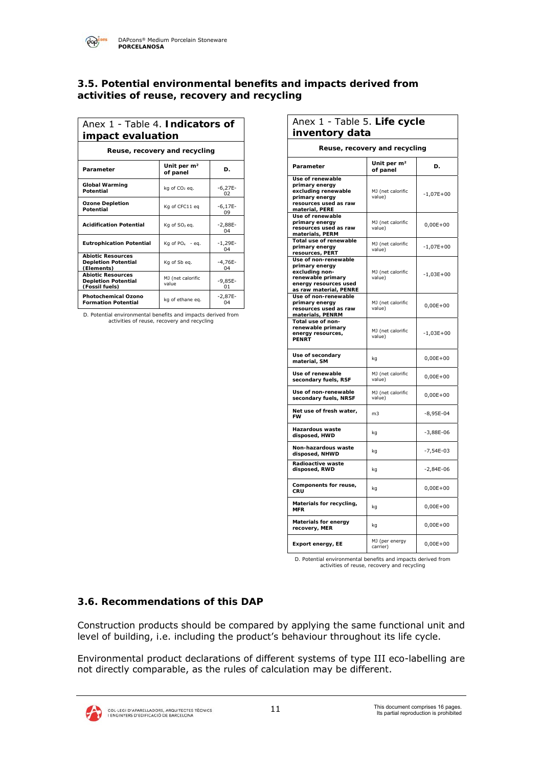#### **3.5. Potential environmental benefits and impacts derived from activities of reuse, recovery and recycling**

| Anex 1 - Table 4. Indicators of<br>impact evaluation                     |                                     |                         |
|--------------------------------------------------------------------------|-------------------------------------|-------------------------|
| Reuse, recovery and recycling                                            |                                     |                         |
| Parameter                                                                | Unit per m <sup>2</sup><br>of panel | D.                      |
| <b>Global Warming</b><br>Potential                                       | kg of CO <sub>2</sub> eg.           | $-6,27E-$<br>02         |
| <b>Ozone Depletion</b><br>Potential                                      | Kg of CFC11 eg                      | $-6,17E-$<br>09         |
| <b>Acidification Potential</b>                                           | Kg of SO <sub>2</sub> eg.           | $-2,88E-$<br>04         |
| <b>Eutrophication Potential</b>                                          | Kg of $PO4 - eq$ .                  | $-1,29E-$<br>04         |
| <b>Abiotic Resources</b><br><b>Depletion Potential</b><br>(Elements)     | Kg of Sb eg.                        | $-4,76E-$<br>04         |
| <b>Abiotic Resources</b><br><b>Depletion Potential</b><br>(Fossil fuels) | MJ (net calorific<br>value          | $-9,85E-$<br>01         |
| <b>Photochemical Ozono</b><br><b>Formation Potential</b>                 | kg of ethane eg.                    | $-2,87E-$<br>$\Omega$ 4 |

*D. Potential environmental benefits and impacts derived from activities of reuse, recovery and recycling*

| Anex 1 - Table 5. Life cycle                                                                                                     |                                     |              |
|----------------------------------------------------------------------------------------------------------------------------------|-------------------------------------|--------------|
| inventory data                                                                                                                   |                                     |              |
|                                                                                                                                  | Reuse, recovery and recycling       |              |
| Parameter                                                                                                                        | Unit per m <sup>2</sup><br>of panel | D.           |
| Use of renewable<br>primary energy<br>excluding renewable<br>primary energy<br>resources used as raw<br>material, PERE           | MJ (net calorific<br>value)         | $-1,07E+00$  |
| Use of renewable<br>primary energy<br>resources used as raw<br>materials, PERM                                                   | MJ (net calorific<br>value)         | $0,00E+00$   |
| Total use of renewable<br>primary energy<br>resources, PERT                                                                      | MJ (net calorific<br>value)         | $-1,07E+00$  |
| Use of non-renewable<br>primary energy<br>excluding non-<br>renewable primary<br>energy resources used<br>as raw material, PENRE | MJ (net calorific<br>value)         | $-1,03E+00$  |
| Use of non-renewable<br>primary energy<br>resources used as raw<br>materials, PENRM                                              | MJ (net calorific<br>value)         | $0,00E + 00$ |
| Total use of non-<br>renewable primary<br>energy resources,<br><b>PENRT</b>                                                      | MJ (net calorific<br>value)         | $-1,03E+00$  |
| Use of secondary<br>material, SM                                                                                                 | kg                                  | $0,00E+00$   |
| Use of renewable<br>secondary fuels, RSF                                                                                         | MJ (net calorific<br>value)         | $0,00E+00$   |
| Use of non-renewable<br>secondary fuels, NRSF                                                                                    | MJ (net calorific<br>value)         | $0,00E+00$   |
| Net use of fresh water,<br><b>FW</b>                                                                                             | m <sub>3</sub>                      | $-8,95E-04$  |
| Hazardous waste<br>disposed, HWD                                                                                                 | kg                                  | $-3,88E-06$  |
| Non-hazardous waste<br>disposed, NHWD                                                                                            | kg                                  | $-7,54E-03$  |
| Radioactive waste<br>disposed, RWD                                                                                               | kg                                  | $-2,84E-06$  |
| Components for reuse,<br>CRU                                                                                                     | kg                                  | $0,00E+00$   |
| Materials for recycling,<br><b>MFR</b>                                                                                           | kg                                  | $0,00E+00$   |
| <b>Materials for energy</b><br>recovery, MER                                                                                     | kg                                  | $0,00E + 00$ |
| Export energy, EE                                                                                                                | MJ (per energy<br>carrier)          | $0,00E+00$   |

*D. Potential environmental benefits and impacts derived from activities of reuse, recovery and recycling*

## **3.6. Recommendations of this DAP**

Construction products should be compared by applying the same functional unit and level of building, i.e. including the product's behaviour throughout its life cycle.

Environmental product declarations of different systems of type III eco-labelling are not directly comparable, as the rules of calculation may be different.

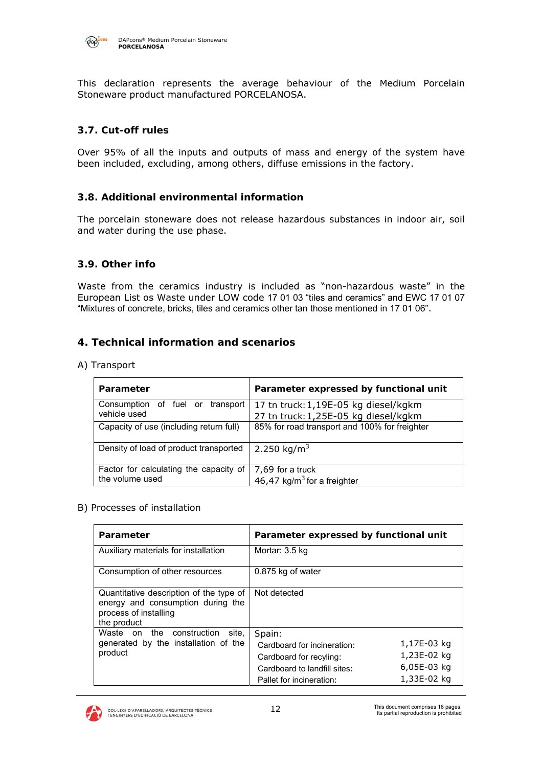

This declaration represents the average behaviour of the Medium Porcelain Stoneware product manufactured PORCELANOSA.

#### **3.7. Cut-off rules**

Over 95% of all the inputs and outputs of mass and energy of the system have been included, excluding, among others, diffuse emissions in the factory.

#### **3.8. Additional environmental information**

The porcelain stoneware does not release hazardous substances in indoor air, soil and water during the use phase.

#### **3.9. Other info**

Waste from the ceramics industry is included as "non-hazardous waste" in the European List os Waste under LOW code 17 01 03 "tiles and ceramics" and EWC 17 01 07 "Mixtures of concrete, bricks, tiles and ceramics other tan those mentioned in 17 01 06".

#### **4. Technical information and scenarios**

A) Transport

| Parameter                                                 | Parameter expressed by functional unit                                       |
|-----------------------------------------------------------|------------------------------------------------------------------------------|
| Consumption of fuel or transport<br>vehicle used          | 17 tn truck: 1,19E-05 kg diesel/kgkm<br>27 tn truck: 1,25E-05 kg diesel/kgkm |
| Capacity of use (including return full)                   | 85% for road transport and 100% for freighter                                |
| Density of load of product transported                    | 2.250 kg/m <sup>3</sup>                                                      |
| Factor for calculating the capacity of<br>the volume used | 7,69 for a truck<br>46,47 kg/m <sup>3</sup> for a freighter                  |

#### B) Processes of installation

| Parameter                                                                                                            | Parameter expressed by functional unit                                                                                                                                                           |
|----------------------------------------------------------------------------------------------------------------------|--------------------------------------------------------------------------------------------------------------------------------------------------------------------------------------------------|
| Auxiliary materials for installation                                                                                 | Mortar: 3.5 kg                                                                                                                                                                                   |
| Consumption of other resources                                                                                       | 0.875 kg of water                                                                                                                                                                                |
| Quantitative description of the type of<br>energy and consumption during the<br>process of installing<br>the product | Not detected                                                                                                                                                                                     |
| Waste on the construction<br>site.<br>generated by the installation of the<br>product                                | Spain:<br>1,17E-03 $kg$<br>Cardboard for incineration:<br>1,23E-02 $kg$<br>Cardboard for recyling:<br>6,05E-03 $kg$<br>Cardboard to landfill sites:<br>1,33E-02 $ka$<br>Pallet for incineration: |

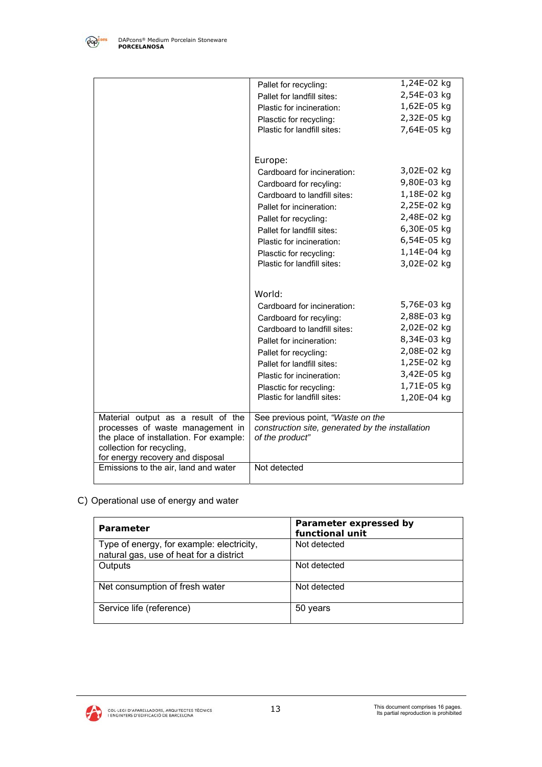

|                                                                             | Pallet for recycling:                                               | 1,24E-02 $kg$ |
|-----------------------------------------------------------------------------|---------------------------------------------------------------------|---------------|
|                                                                             | Pallet for landfill sites:                                          | 2,54E-03 $kg$ |
|                                                                             | Plastic for incineration:                                           | 1,62E-05 $kg$ |
|                                                                             | Plasctic for recycling:                                             | 2,32E-05 $kg$ |
|                                                                             | Plastic for landfill sites:                                         | 7,64E-05 kg   |
|                                                                             |                                                                     |               |
|                                                                             | Europe:                                                             |               |
|                                                                             | Cardboard for incineration:                                         | 3,02E-02 $kg$ |
|                                                                             | Cardboard for recyling:                                             | 9,80E-03 kg   |
|                                                                             | Cardboard to landfill sites:                                        | 1,18E-02 $kg$ |
|                                                                             | Pallet for incineration:                                            | 2,25E-02 $kg$ |
|                                                                             | Pallet for recycling:                                               | 2,48E-02 kg   |
|                                                                             | Pallet for landfill sites:                                          | 6,30E-05 $kg$ |
|                                                                             | Plastic for incineration:                                           | 6,54E-05 $kg$ |
|                                                                             | Plasctic for recycling:                                             | 1,14E-04 $kg$ |
|                                                                             | Plastic for landfill sites:                                         | 3,02E-02 $kg$ |
|                                                                             |                                                                     |               |
|                                                                             | World:                                                              |               |
|                                                                             | Cardboard for incineration:                                         | 5,76E-03 kg   |
|                                                                             |                                                                     | 2,88E-03 $kg$ |
|                                                                             | Cardboard for recyling:<br>Cardboard to landfill sites:             | 2,02E-02 $kg$ |
|                                                                             | Pallet for incineration:                                            | 8,34E-03 kg   |
|                                                                             | Pallet for recycling:                                               | 2,08E-02 $kg$ |
|                                                                             | Pallet for landfill sites:                                          | 1,25E-02 $kg$ |
|                                                                             | Plastic for incineration:                                           | 3,42E-05 kg   |
|                                                                             | Plasctic for recycling:                                             | 1,71E-05 $kg$ |
|                                                                             | Plastic for landfill sites:                                         | 1,20E-04 $kg$ |
|                                                                             |                                                                     |               |
| Material output as a result of the                                          | See previous point, "Waste on the                                   |               |
| processes of waste management in<br>the place of installation. For example: | construction site, generated by the installation<br>of the product" |               |
| collection for recycling,                                                   |                                                                     |               |
| for energy recovery and disposal                                            |                                                                     |               |
| Emissions to the air, land and water                                        | Not detected                                                        |               |
|                                                                             |                                                                     |               |

# C) Operational use of energy and water

| Parameter                                                                            | Parameter expressed by<br>functional unit |
|--------------------------------------------------------------------------------------|-------------------------------------------|
| Type of energy, for example: electricity,<br>natural gas, use of heat for a district | Not detected                              |
| Outputs                                                                              | Not detected                              |
| Net consumption of fresh water                                                       | Not detected                              |
| Service life (reference)                                                             | 50 years                                  |

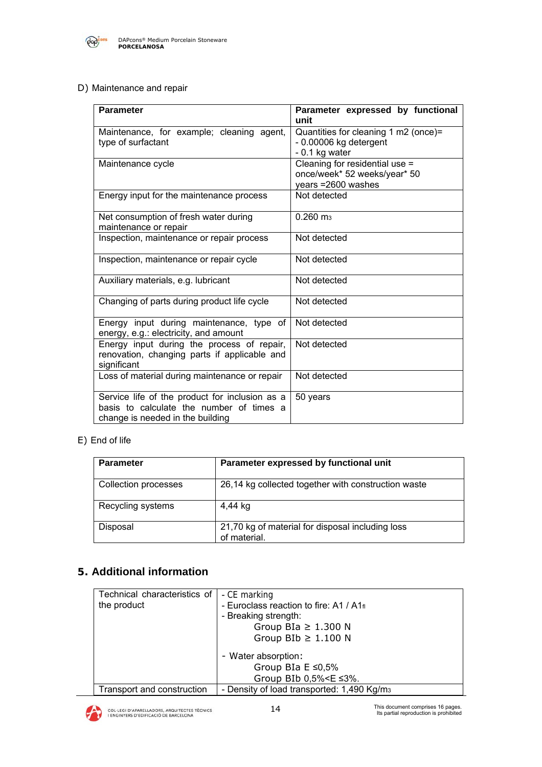

D) Maintenance and repair

| <b>Parameter</b>                                                                                                               | Parameter expressed by functional<br>unit                                            |
|--------------------------------------------------------------------------------------------------------------------------------|--------------------------------------------------------------------------------------|
| Maintenance, for example; cleaning agent,<br>type of surfactant                                                                | Quantities for cleaning 1 m2 (once)=<br>- 0.00006 kg detergent<br>$-0.1$ kg water    |
| Maintenance cycle                                                                                                              | Cleaning for residential use =<br>once/week* 52 weeks/year* 50<br>years =2600 washes |
| Energy input for the maintenance process                                                                                       | Not detected                                                                         |
| Net consumption of fresh water during<br>maintenance or repair                                                                 | $0.260$ m <sub>3</sub>                                                               |
| Inspection, maintenance or repair process                                                                                      | Not detected                                                                         |
| Inspection, maintenance or repair cycle                                                                                        | Not detected                                                                         |
| Auxiliary materials, e.g. lubricant                                                                                            | Not detected                                                                         |
| Changing of parts during product life cycle                                                                                    | Not detected                                                                         |
| Energy input during maintenance, type of<br>energy, e.g.: electricity, and amount                                              | Not detected                                                                         |
| Energy input during the process of repair,<br>renovation, changing parts if applicable and<br>significant                      | Not detected                                                                         |
| Loss of material during maintenance or repair                                                                                  | Not detected                                                                         |
| Service life of the product for inclusion as a<br>basis to calculate the number of times a<br>change is needed in the building | 50 years                                                                             |

#### E) End of life

| <b>Parameter</b>     | Parameter expressed by functional unit                           |
|----------------------|------------------------------------------------------------------|
| Collection processes | 26,14 kg collected together with construction waste              |
| Recycling systems    | 4,44 kg                                                          |
| Disposal             | 21,70 kg of material for disposal including loss<br>of material. |

# **5. Additional information**

| Technical characteristics of | - CE marking                                           |
|------------------------------|--------------------------------------------------------|
| the product                  | - Euroclass reaction to fire: A1 / A1fl                |
|                              | - Breaking strength:                                   |
|                              | Group BIa $\geq$ 1.300 N                               |
|                              | Group BIb $\geq$ 1.100 N                               |
|                              | - Water absorption:                                    |
|                              | Group BIa $E \le 0.5\%$                                |
|                              | Group BIb 0,5% < E ≤3%.                                |
| Transport and construction   | - Density of load transported: 1,490 Kg/m <sub>3</sub> |

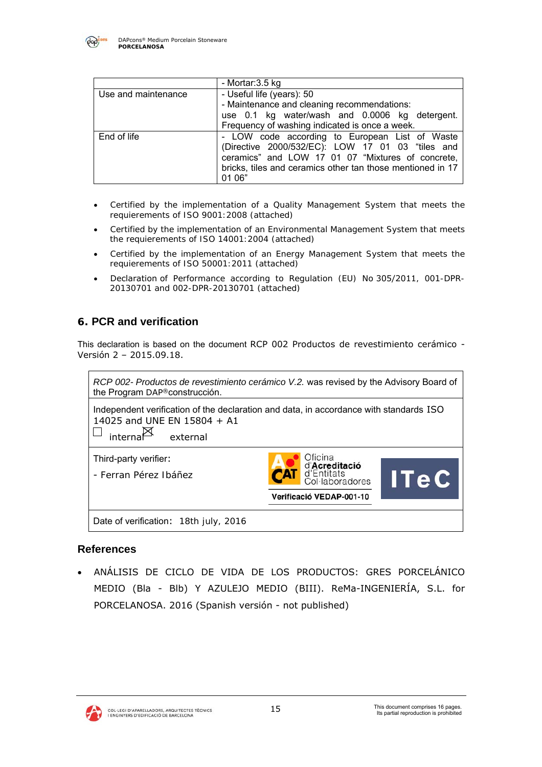

|                     | - Mortar:3.5 kg                                                                                                                                                                                                                 |
|---------------------|---------------------------------------------------------------------------------------------------------------------------------------------------------------------------------------------------------------------------------|
| Use and maintenance | - Useful life (years): 50<br>- Maintenance and cleaning recommendations:<br>use 0.1 kg water/wash and 0.0006 kg detergent.<br>Frequency of washing indicated is once a week.                                                    |
| End of life         | - LOW code according to European List of Waste<br>(Directive 2000/532/EC): LOW 17 01 03 "tiles and<br>ceramics" and LOW 17 01 07 "Mixtures of concrete,<br>bricks, tiles and ceramics other tan those mentioned in 17<br>01 06" |

- *Certified by the implementation of a Quality Management System that meets the requierements of ISO 9001:2008 (attached)*
- *Certified by the implementation of an Environmental Management System that meets the requierements of ISO 14001:2004 (attached)*
- *Certified by the implementation of an Energy Management System that meets the requierements of ISO 50001:2011 (attached)*
- Declaration *of Performance according to Regulation (EU) No* 305/2011*, 001-DPR-20130701 and 002-DPR-20130701 (attached)*

# **6. PCR and verification**

This declaration is based on the document RCP 002 Productos de revestimiento cerámico - Versión 2 – 2015.09.18.



#### **References**

 ANÁLISIS DE CICLO DE VIDA DE LOS PRODUCTOS: GRES PORCELÁNICO MEDIO (Bla - Blb) Y AZULEJO MEDIO (BIII). ReMa-INGENIERÍA, S.L. for PORCELANOSA. 2016 (Spanish versión - not published)